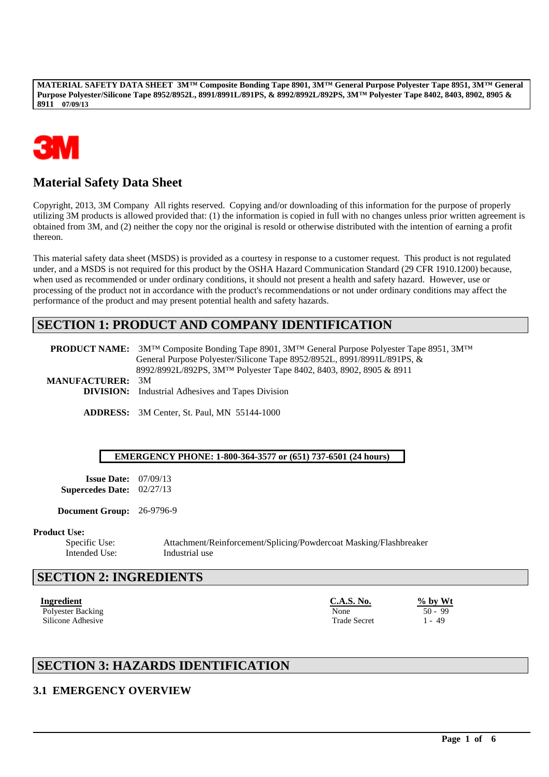

# **Material Safety Data Sheet**

Copyright, 2013, 3M Company All rights reserved. Copying and/or downloading of this information for the purpose of properly utilizing 3M products is allowed provided that: (1) the information is copied in full with no changes unless prior written agreement is obtained from 3M, and (2) neither the copy nor the original is resold or otherwise distributed with the intention of earning a profit thereon.

This material safety data sheet (MSDS) is provided as a courtesy in response to a customer request. This product is not regulated under, and a MSDS is not required for this product by the OSHA Hazard Communication Standard (29 CFR 1910.1200) because, when used as recommended or under ordinary conditions, it should not present a health and safety hazard. However, use or processing of the product not in accordance with the product's recommendations or not under ordinary conditions may affect the performance of the product and may present potential health and safety hazards.

# **SECTION 1: PRODUCT AND COMPANY IDENTIFICATION**

**PRODUCT NAME:** 3M™ Composite Bonding Tape 8901, 3M™ General Purpose Polyester Tape 8951, 3M™ General Purpose Polyester/Silicone Tape 8952/8952L, 8991/8991L/891PS, & 8992/8992L/892PS, 3M™ Polyester Tape 8402, 8403, 8902, 8905 & 8911 **MANUFACTURER:** 3M **DIVISION:** Industrial Adhesives and Tapes Division

**ADDRESS:** 3M Center, St. Paul, MN 55144-1000

#### **EMERGENCY PHONE: 1-800-364-3577 or (651) 737-6501 (24 hours)**

**Issue Date:** 07/09/13 **Supercedes Date:** 02/27/13

**Document Group:** 26-9796-9

#### **Product Use:**

Intended Use: Industrial use

Specific Use: Attachment/Reinforcement/Splicing/Powdercoat Masking/Flashbreaker

\_\_\_\_\_\_\_\_\_\_\_\_\_\_\_\_\_\_\_\_\_\_\_\_\_\_\_\_\_\_\_\_\_\_\_\_\_\_\_\_\_\_\_\_\_\_\_\_\_\_\_\_\_\_\_\_\_\_\_\_\_\_\_\_\_\_\_\_\_\_\_\_\_\_\_\_\_\_\_\_\_\_\_\_\_\_\_\_\_\_\_\_\_\_\_\_\_

## **SECTION 2: INGREDIENTS**

**Ingredient C.A.S. No. % by Wt** Polyester Backing 50 - 99<br>Silicone Adhesive 1 - 49 Silicone Adhesive Trade Secret 1 - 49

# **SECTION 3: HAZARDS IDENTIFICATION**

## **3.1 EMERGENCY OVERVIEW**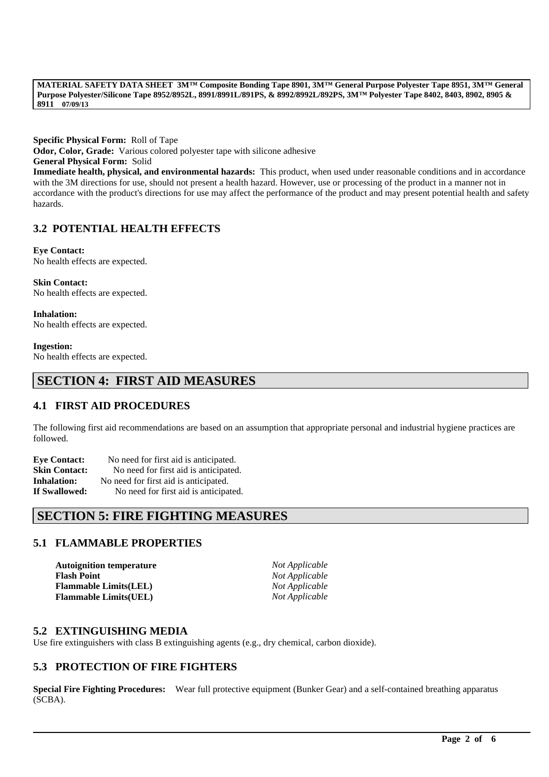**Specific Physical Form:** Roll of Tape **Odor, Color, Grade:** Various colored polyester tape with silicone adhesive **General Physical Form:** Solid **Immediate health, physical, and environmental hazards:** This product, when used under reasonable conditions and in accordance with the 3M directions for use, should not present a health hazard. However, use or processing of the product in a manner not in accordance with the product's directions for use may affect the performance of the product and may present potential health and safety hazards.

## **3.2 POTENTIAL HEALTH EFFECTS**

**Eye Contact:** No health effects are expected.

**Skin Contact:** No health effects are expected.

**Inhalation:** No health effects are expected.

**Ingestion:**

No health effects are expected.

# **SECTION 4: FIRST AID MEASURES**

## **4.1 FIRST AID PROCEDURES**

The following first aid recommendations are based on an assumption that appropriate personal and industrial hygiene practices are followed.

| <b>Eve Contact:</b>  | No need for first aid is anticipated. |
|----------------------|---------------------------------------|
| <b>Skin Contact:</b> | No need for first aid is anticipated. |
| Inhalation:          | No need for first aid is anticipated. |
| <b>If Swallowed:</b> | No need for first aid is anticipated. |

# **SECTION 5: FIRE FIGHTING MEASURES**

## **5.1 FLAMMABLE PROPERTIES**

**Autoignition temperature** *Not Applicable* **Flash Point** *Not Applicable* **Flammable Limits(LEL)** *Not Applicable* **Flammable Limits(UEL)** *Not Applicable*

### **5.2 EXTINGUISHING MEDIA**

Use fire extinguishers with class B extinguishing agents (e.g., dry chemical, carbon dioxide).

## **5.3 PROTECTION OF FIRE FIGHTERS**

**Special Fire Fighting Procedures:** Wear full protective equipment (Bunker Gear) and a self-contained breathing apparatus (SCBA).

\_\_\_\_\_\_\_\_\_\_\_\_\_\_\_\_\_\_\_\_\_\_\_\_\_\_\_\_\_\_\_\_\_\_\_\_\_\_\_\_\_\_\_\_\_\_\_\_\_\_\_\_\_\_\_\_\_\_\_\_\_\_\_\_\_\_\_\_\_\_\_\_\_\_\_\_\_\_\_\_\_\_\_\_\_\_\_\_\_\_\_\_\_\_\_\_\_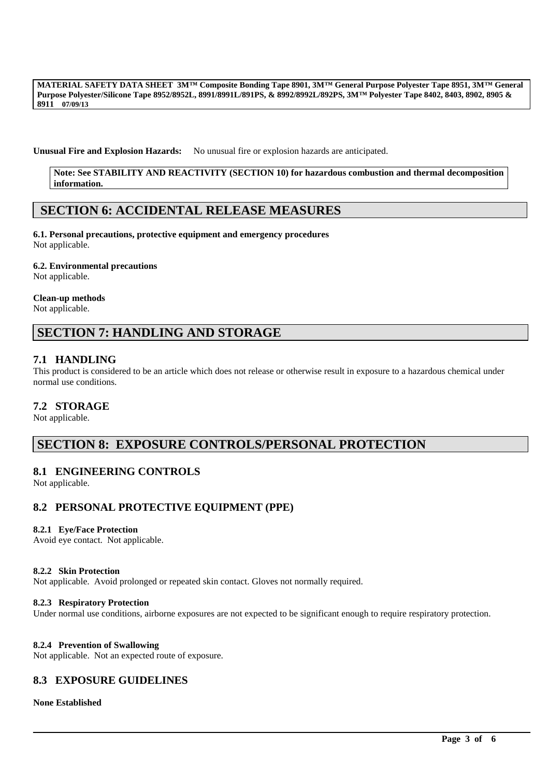**Unusual Fire and Explosion Hazards:** No unusual fire or explosion hazards are anticipated.

**Note: See STABILITY AND REACTIVITY (SECTION 10) for hazardous combustion and thermal decomposition information.**

## **SECTION 6: ACCIDENTAL RELEASE MEASURES**

**6.1. Personal precautions, protective equipment and emergency procedures** Not applicable.

#### **6.2. Environmental precautions**

Not applicable.

#### **Clean-up methods**

Not applicable.

# **SECTION 7: HANDLING AND STORAGE**

### **7.1 HANDLING**

This product is considered to be an article which does not release or otherwise result in exposure to a hazardous chemical under normal use conditions.

### **7.2 STORAGE**

Not applicable.

## **SECTION 8: EXPOSURE CONTROLS/PERSONAL PROTECTION**

### **8.1 ENGINEERING CONTROLS**

Not applicable.

### **8.2 PERSONAL PROTECTIVE EQUIPMENT (PPE)**

#### **8.2.1 Eye/Face Protection**

Avoid eye contact. Not applicable.

#### **8.2.2 Skin Protection**

Not applicable. Avoid prolonged or repeated skin contact. Gloves not normally required.

#### **8.2.3 Respiratory Protection**

Under normal use conditions, airborne exposures are not expected to be significant enough to require respiratory protection.

\_\_\_\_\_\_\_\_\_\_\_\_\_\_\_\_\_\_\_\_\_\_\_\_\_\_\_\_\_\_\_\_\_\_\_\_\_\_\_\_\_\_\_\_\_\_\_\_\_\_\_\_\_\_\_\_\_\_\_\_\_\_\_\_\_\_\_\_\_\_\_\_\_\_\_\_\_\_\_\_\_\_\_\_\_\_\_\_\_\_\_\_\_\_\_\_\_

#### **8.2.4 Prevention of Swallowing**

Not applicable. Not an expected route of exposure.

## **8.3 EXPOSURE GUIDELINES**

#### **None Established**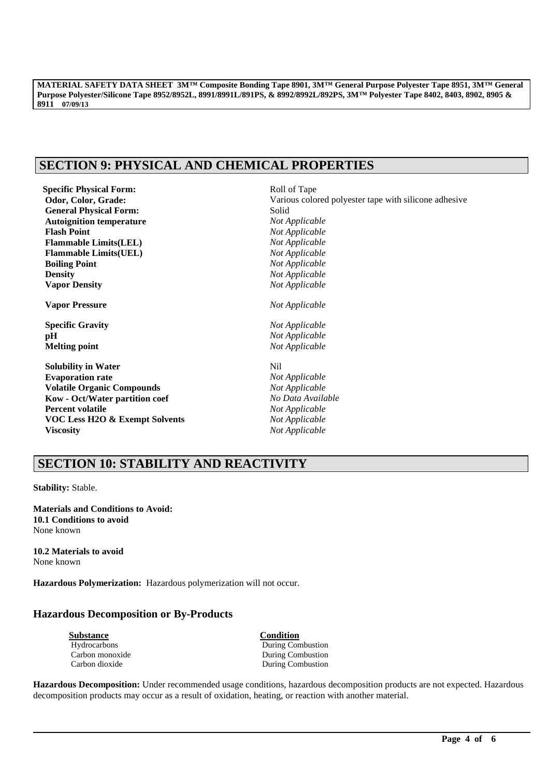# **SECTION 9: PHYSICAL AND CHEMICAL PROPERTIES**

**Specific Physical Form:**  $Rol1$  of Tape **General Physical Form: Autoignition temperature** *Not Applicable* **Flash Point** *Not Applicable* **Flammable Limits(LEL)** *Not Applicable* **Flammable Limits(UEL)** *Not Applicable* **Boiling Point** *Not Applicable* **Density** *Not Applicable* **Vapor Density** *Not Applicable*

**Vapor Pressure** *Not Applicable*

**Specific Gravity** *Not Applicable* **pH** *Not Applicable* **Melting point** *Not Applicable*

**Solubility in Water** Nil **Evaporation rate** *Not Applicable* **Volatile Organic Compounds** *Not Applicable* **Kow - Oct/Water partition coef** *No Data Available* **Percent volatile** *Not Applicable* **VOC Less H2O & Exempt Solvents** *Not Applicable* **Viscosity** *Not Applicable*

Odor, Color, Grade: **Various colored polyester tape with silicone adhesive General Physical Form:** Solid

# **SECTION 10: STABILITY AND REACTIVITY**

**Stability:** Stable.

**Materials and Conditions to Avoid: 10.1 Conditions to avoid** None known

**10.2 Materials to avoid** None known

**Hazardous Polymerization:** Hazardous polymerization will not occur.

## **Hazardous Decomposition or By-Products**

| <b>Substance</b> | Condition                |
|------------------|--------------------------|
| Hydrocarbons     | During Combustion        |
| Carbon monoxide  | <b>During Combustion</b> |
| Carbon dioxide   | <b>During Combustion</b> |

**Hazardous Decomposition:** Under recommended usage conditions, hazardous decomposition products are not expected. Hazardous decomposition products may occur as a result of oxidation, heating, or reaction with another material.

\_\_\_\_\_\_\_\_\_\_\_\_\_\_\_\_\_\_\_\_\_\_\_\_\_\_\_\_\_\_\_\_\_\_\_\_\_\_\_\_\_\_\_\_\_\_\_\_\_\_\_\_\_\_\_\_\_\_\_\_\_\_\_\_\_\_\_\_\_\_\_\_\_\_\_\_\_\_\_\_\_\_\_\_\_\_\_\_\_\_\_\_\_\_\_\_\_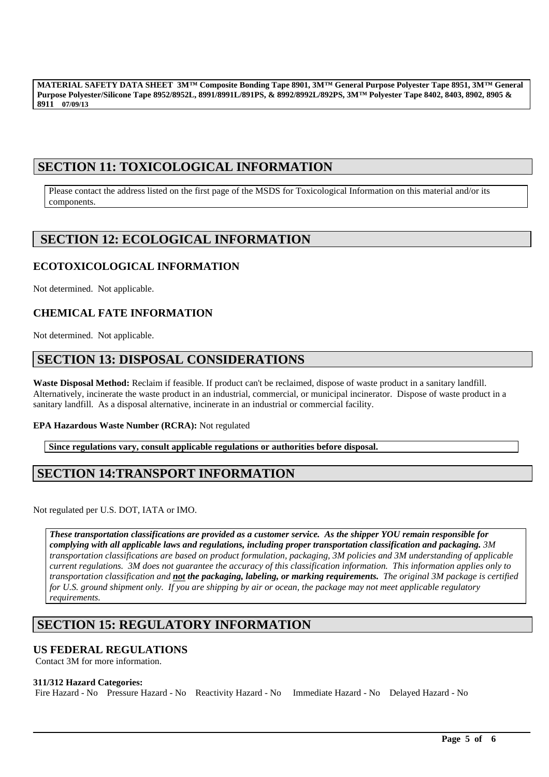# **SECTION 11: TOXICOLOGICAL INFORMATION**

Please contact the address listed on the first page of the MSDS for Toxicological Information on this material and/or its components.

# **SECTION 12: ECOLOGICAL INFORMATION**

## **ECOTOXICOLOGICAL INFORMATION**

Not determined. Not applicable.

## **CHEMICAL FATE INFORMATION**

Not determined. Not applicable.

# **SECTION 13: DISPOSAL CONSIDERATIONS**

**Waste Disposal Method:** Reclaim if feasible. If product can't be reclaimed, dispose of waste product in a sanitary landfill. Alternatively, incinerate the waste product in an industrial, commercial, or municipal incinerator. Dispose of waste product in a sanitary landfill. As a disposal alternative, incinerate in an industrial or commercial facility.

### **EPA Hazardous Waste Number (RCRA):** Not regulated

**Since regulations vary, consult applicable regulations or authorities before disposal.**

# **SECTION 14:TRANSPORT INFORMATION**

Not regulated per U.S. DOT, IATA or IMO.

*These transportation classifications are provided as a customer service. As the shipper YOU remain responsible for complying with all applicable laws and regulations, including proper transportation classification and packaging. 3M transportation classifications are based on product formulation, packaging, 3M policies and 3M understanding of applicable current regulations. 3M does not guarantee the accuracy of this classification information. This information applies only to transportation classification and not the packaging, labeling, or marking requirements. The original 3M package is certified for U.S. ground shipment only. If you are shipping by air or ocean, the package may not meet applicable regulatory requirements.* 

\_\_\_\_\_\_\_\_\_\_\_\_\_\_\_\_\_\_\_\_\_\_\_\_\_\_\_\_\_\_\_\_\_\_\_\_\_\_\_\_\_\_\_\_\_\_\_\_\_\_\_\_\_\_\_\_\_\_\_\_\_\_\_\_\_\_\_\_\_\_\_\_\_\_\_\_\_\_\_\_\_\_\_\_\_\_\_\_\_\_\_\_\_\_\_\_\_

# **SECTION 15: REGULATORY INFORMATION**

### **US FEDERAL REGULATIONS**

Contact 3M for more information.

#### **311/312 Hazard Categories:**

Fire Hazard - No Pressure Hazard - No Reactivity Hazard - No Immediate Hazard - No Delayed Hazard - No